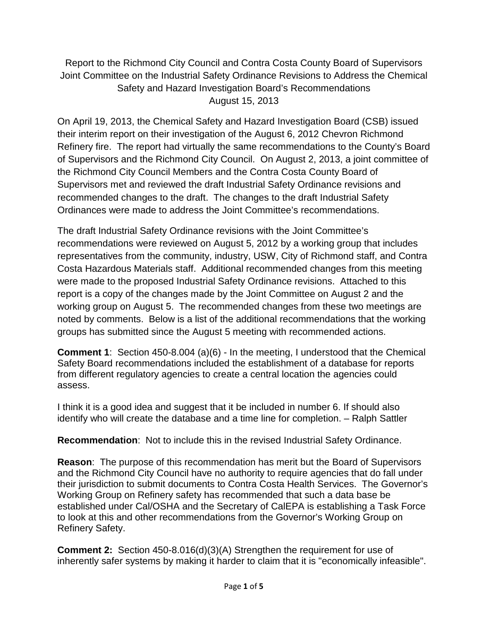Report to the Richmond City Council and Contra Costa County Board of Supervisors Joint Committee on the Industrial Safety Ordinance Revisions to Address the Chemical Safety and Hazard Investigation Board's Recommendations August 15, 2013

On April 19, 2013, the Chemical Safety and Hazard Investigation Board (CSB) issued their interim report on their investigation of the August 6, 2012 Chevron Richmond Refinery fire. The report had virtually the same recommendations to the County's Board of Supervisors and the Richmond City Council. On August 2, 2013, a joint committee of the Richmond City Council Members and the Contra Costa County Board of Supervisors met and reviewed the draft Industrial Safety Ordinance revisions and recommended changes to the draft. The changes to the draft Industrial Safety Ordinances were made to address the Joint Committee's recommendations.

The draft Industrial Safety Ordinance revisions with the Joint Committee's recommendations were reviewed on August 5, 2012 by a working group that includes representatives from the community, industry, USW, City of Richmond staff, and Contra Costa Hazardous Materials staff. Additional recommended changes from this meeting were made to the proposed Industrial Safety Ordinance revisions. Attached to this report is a copy of the changes made by the Joint Committee on August 2 and the working group on August 5. The recommended changes from these two meetings are noted by comments. Below is a list of the additional recommendations that the working groups has submitted since the August 5 meeting with recommended actions.

**Comment 1**: Section 450-8.004 (a)(6) - In the meeting, I understood that the Chemical Safety Board recommendations included the establishment of a database for reports from different regulatory agencies to create a central location the agencies could assess.

I think it is a good idea and suggest that it be included in number 6. If should also identify who will create the database and a time line for completion. – Ralph Sattler

**Recommendation**: Not to include this in the revised Industrial Safety Ordinance.

**Reason**: The purpose of this recommendation has merit but the Board of Supervisors and the Richmond City Council have no authority to require agencies that do fall under their jurisdiction to submit documents to Contra Costa Health Services. The Governor's Working Group on Refinery safety has recommended that such a data base be established under Cal/OSHA and the Secretary of CalEPA is establishing a Task Force to look at this and other recommendations from the Governor's Working Group on Refinery Safety.

**Comment 2:** Section 450-8.016(d)(3)(A) Strengthen the requirement for use of inherently safer systems by making it harder to claim that it is "economically infeasible".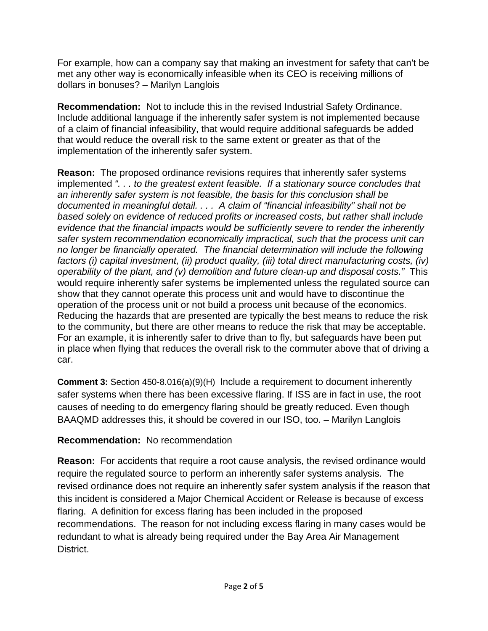For example, how can a company say that making an investment for safety that can't be met any other way is economically infeasible when its CEO is receiving millions of dollars in bonuses? – Marilyn Langlois

**Recommendation:** Not to include this in the revised Industrial Safety Ordinance. Include additional language if the inherently safer system is not implemented because of a claim of financial infeasibility, that would require additional safeguards be added that would reduce the overall risk to the same extent or greater as that of the implementation of the inherently safer system.

**Reason:** The proposed ordinance revisions requires that inherently safer systems implemented *". . . to the greatest extent feasible. If a stationary source concludes that an inherently safer system is not feasible, the basis for this conclusion shall be documented in meaningful detail. . . . A claim of "financial infeasibility" shall not be based solely on evidence of reduced profits or increased costs, but rather shall include evidence that the financial impacts would be sufficiently severe to render the inherently safer system recommendation economically impractical, such that the process unit can no longer be financially operated. The financial determination will include the following factors (i) capital investment, (ii) product quality, (iii) total direct manufacturing costs, (iv) operability of the plant, and (v) demolition and future clean-up and disposal costs."* This would require inherently safer systems be implemented unless the regulated source can show that they cannot operate this process unit and would have to discontinue the operation of the process unit or not build a process unit because of the economics. Reducing the hazards that are presented are typically the best means to reduce the risk to the community, but there are other means to reduce the risk that may be acceptable. For an example, it is inherently safer to drive than to fly, but safeguards have been put in place when flying that reduces the overall risk to the commuter above that of driving a car.

**Comment 3:** Section 450-8.016(a)(9)(H) Include a requirement to document inherently safer systems when there has been excessive flaring. If ISS are in fact in use, the root causes of needing to do emergency flaring should be greatly reduced. Even though BAAQMD addresses this, it should be covered in our ISO, too. – Marilyn Langlois

# **Recommendation:** No recommendation

**Reason:** For accidents that require a root cause analysis, the revised ordinance would require the regulated source to perform an inherently safer systems analysis. The revised ordinance does not require an inherently safer system analysis if the reason that this incident is considered a Major Chemical Accident or Release is because of excess flaring. A definition for excess flaring has been included in the proposed recommendations. The reason for not including excess flaring in many cases would be redundant to what is already being required under the Bay Area Air Management District.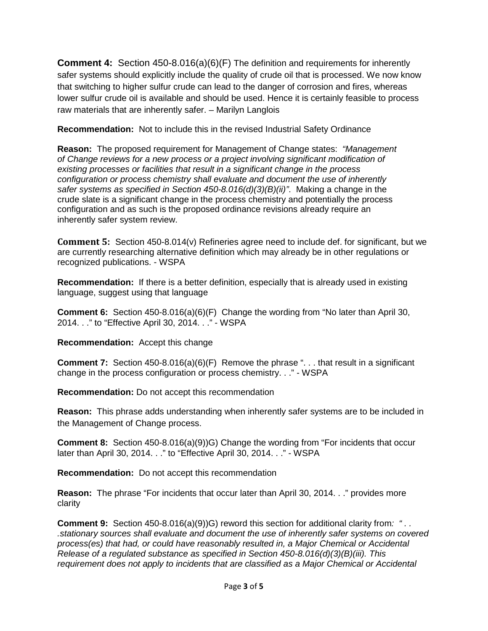**Comment 4:** Section 450-8.016(a)(6)(F) The definition and requirements for inherently safer systems should explicitly include the quality of crude oil that is processed. We now know that switching to higher sulfur crude can lead to the danger of corrosion and fires, whereas lower sulfur crude oil is available and should be used. Hence it is certainly feasible to process raw materials that are inherently safer. – Marilyn Langlois

**Recommendation:** Not to include this in the revised Industrial Safety Ordinance

**Reason:** The proposed requirement for Management of Change states: *"Management of Change reviews for a new process or a project involving significant modification of existing processes or facilities that result in a significant change in the process configuration or process chemistry shall evaluate and document the use of inherently safer systems as specified in Section 450-8.016(d)(3)(B)(ii)"*. Making a change in the crude slate is a significant change in the process chemistry and potentially the process configuration and as such is the proposed ordinance revisions already require an inherently safer system review.

**Comment 5:** Section 450-8.014(v) Refineries agree need to include def. for significant, but we are currently researching alternative definition which may already be in other regulations or recognized publications. - WSPA

**Recommendation:** If there is a better definition, especially that is already used in existing language, suggest using that language

**Comment 6:** Section 450-8.016(a)(6)(F) Change the wording from "No later than April 30, 2014. . ." to "Effective April 30, 2014. . ." - WSPA

**Recommendation:** Accept this change

**Comment 7:** Section 450-8.016(a)(6)(F) Remove the phrase ". . . that result in a significant change in the process configuration or process chemistry. . ." - WSPA

**Recommendation:** Do not accept this recommendation

**Reason:** This phrase adds understanding when inherently safer systems are to be included in the Management of Change process.

**Comment 8:** Section 450-8.016(a)(9))G) Change the wording from "For incidents that occur later than April 30, 2014. . ." to "Effective April 30, 2014. . ." - WSPA

**Recommendation:** Do not accept this recommendation

**Reason:** The phrase "For incidents that occur later than April 30, 2014. . ." provides more clarity

**Comment 9:** Section 450-8.016(a)(9))G) reword this section for additional clarity from: ".. *.stationary sources shall evaluate and document the use of inherently safer systems on covered process(es) that had, or could have reasonably resulted in, a Major Chemical or Accidental Release of a regulated substance as specified in Section 450-8.016(d)(3)(B)(iii). This requirement does not apply to incidents that are classified as a Major Chemical or Accidental*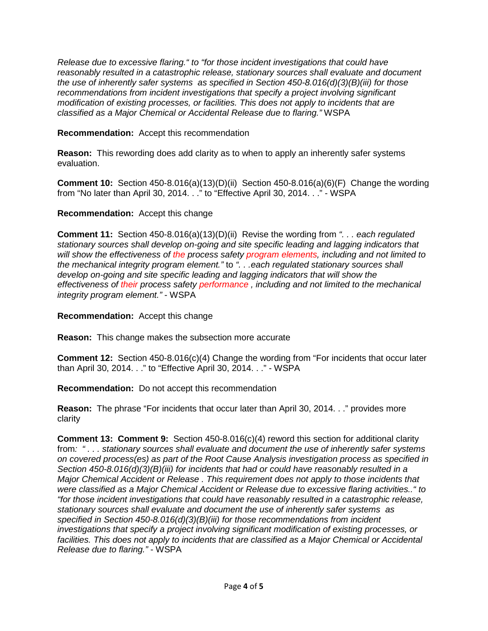*Release due to excessive flaring." to "for those incident investigations that could have reasonably resulted in a catastrophic release, stationary sources shall evaluate and document the use of inherently safer systems as specified in Section 450-8.016(d)(3)(B)(iii) for those recommendations from incident investigations that specify a project involving significant modification of existing processes, or facilities. This does not apply to incidents that are classified as a Major Chemical or Accidental Release due to flaring."* WSPA

#### **Recommendation:** Accept this recommendation

**Reason:** This rewording does add clarity as to when to apply an inherently safer systems evaluation.

**Comment 10:** Section 450-8.016(a)(13)(D)(ii) Section 450-8.016(a)(6)(F) Change the wording from "No later than April 30, 2014. . ." to "Effective April 30, 2014. . ." - WSPA

## **Recommendation:** Accept this change

**Comment 11:** Section 450-8.016(a)(13)(D)(ii) Revise the wording from *". . . each regulated stationary sources shall develop on-going and site specific leading and lagging indicators that will show the effectiveness of the process safety program elements, including and not limited to the mechanical integrity program element."* to *". . .each regulated stationary sources shall develop on-going and site specific leading and lagging indicators that will show the effectiveness of their process safety performance , including and not limited to the mechanical integrity program element."* - WSPA

**Recommendation:** Accept this change

**Reason:** This change makes the subsection more accurate

**Comment 12:** Section 450-8.016(c)(4) Change the wording from "For incidents that occur later than April 30, 2014. . ." to "Effective April 30, 2014. . ." - WSPA

**Recommendation:** Do not accept this recommendation

**Reason:** The phrase "For incidents that occur later than April 30, 2014. . ." provides more clarity

**Comment 13: Comment 9:** Section 450-8.016(c)(4) reword this section for additional clarity from*: " . . . stationary sources shall evaluate and document the use of inherently safer systems on covered process(es) as part of the Root Cause Analysis investigation process as specified in Section 450-8.016(d)(3)(B)(iii) for incidents that had or could have reasonably resulted in a Major Chemical Accident or Release . This requirement does not apply to those incidents that were classified as a Major Chemical Accident or Release due to excessive flaring activities.." to "for those incident investigations that could have reasonably resulted in a catastrophic release, stationary sources shall evaluate and document the use of inherently safer systems as specified in Section 450-8.016(d)(3)(B)(iii) for those recommendations from incident investigations that specify a project involving significant modification of existing processes, or*  facilities. This does not apply to incidents that are classified as a Major Chemical or Accidental *Release due to flaring."* - WSPA